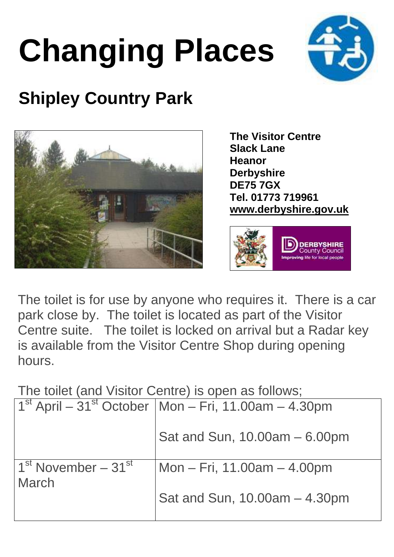## **Changing Places**



## **Shipley Country Park**



**The Visitor Centre Slack Lane Heanor Derbyshire DE75 7GX Tel. 01773 719961 www.derbyshire.gov.uk**



The toilet is for use by anyone who requires it. There is a car park close by. The toilet is located as part of the Visitor Centre suite. The toilet is locked on arrival but a Radar key is available from the Visitor Centre Shop during opening hours.

The toilet (and Visitor Centre) is open as follows;

|                          | $1st$ April – 31 <sup>st</sup> October   Mon – Fri, 11.00am – 4.30pm |
|--------------------------|----------------------------------------------------------------------|
|                          | Sat and Sun, 10.00am - 6.00pm                                        |
| $1st$ November – 31 $st$ | Mon – Fri, 11.00am – 4.00pm                                          |
| <b>March</b>             | Sat and Sun, 10.00am - 4.30pm                                        |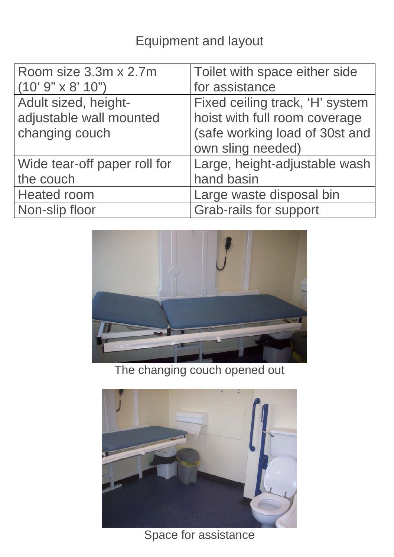## Equipment and layout

| Room size 3.3m x 2.7m        | Toilet with space either side   |
|------------------------------|---------------------------------|
| $(10' 9'' \times 8' 10'')$   | for assistance                  |
| Adult sized, height-         | Fixed ceiling track, 'H' system |
| adjustable wall mounted      | hoist with full room coverage   |
| changing couch               | (safe working load of 30st and  |
|                              | own sling needed)               |
| Wide tear-off paper roll for | Large, height-adjustable wash   |
| the couch                    | hand basin                      |
| <b>Heated room</b>           | Large waste disposal bin        |
| Non-slip floor               | <b>Grab-rails for support</b>   |



The changing couch opened out



Space for assistance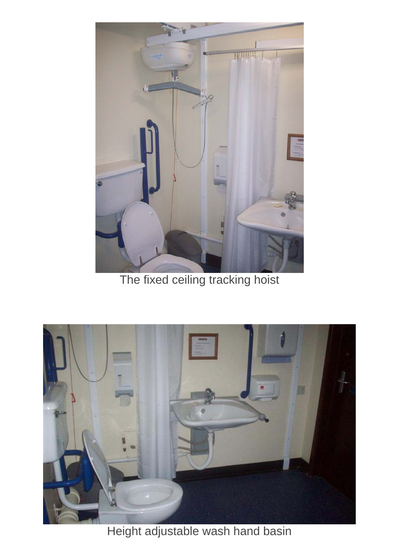

The fixed ceiling tracking hoist



Height adjustable wash hand basin